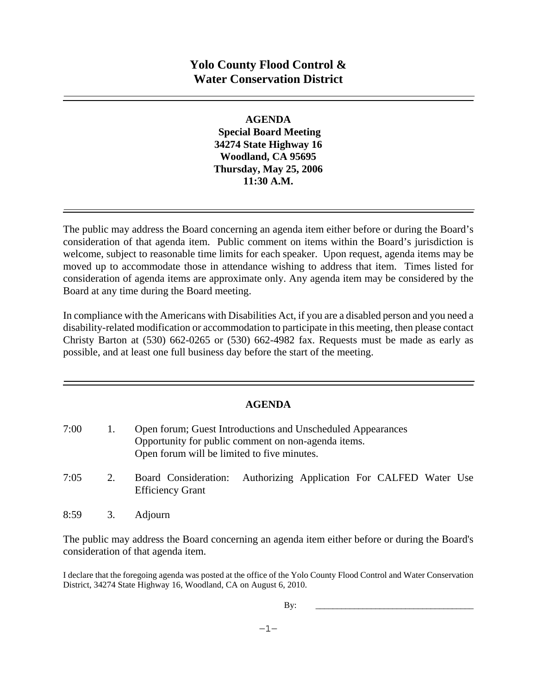# **Yolo County Flood Control & Water Conservation District**

#### **AGENDA**

 **Special Board Meeting 34274 State Highway 16 Woodland, CA 95695 Thursday, May 25, 2006 11:30 A.M.** 

The public may address the Board concerning an agenda item either before or during the Board's consideration of that agenda item. Public comment on items within the Board's jurisdiction is welcome, subject to reasonable time limits for each speaker. Upon request, agenda items may be moved up to accommodate those in attendance wishing to address that item. Times listed for consideration of agenda items are approximate only. Any agenda item may be considered by the Board at any time during the Board meeting.

In compliance with the Americans with Disabilities Act, if you are a disabled person and you need a disability-related modification or accommodation to participate in this meeting, then please contact Christy Barton at (530) 662-0265 or (530) 662-4982 fax. Requests must be made as early as possible, and at least one full business day before the start of the meeting.

## **AGENDA**

| 7:00 | Open forum; Guest Introductions and Unscheduled Appearances |
|------|-------------------------------------------------------------|
|      | Opportunity for public comment on non-agenda items.         |
|      | Open forum will be limited to five minutes.                 |

- 7:05 2. Board Consideration: Authorizing Application For CALFED Water Use Efficiency Grant
- 8:59 3. Adjourn

The public may address the Board concerning an agenda item either before or during the Board's consideration of that agenda item.

I declare that the foregoing agenda was posted at the office of the Yolo County Flood Control and Water Conservation District, 34274 State Highway 16, Woodland, CA on August 6, 2010.

By: \_\_\_\_\_\_\_\_\_\_\_\_\_\_\_\_\_\_\_\_\_\_\_\_\_\_\_\_\_\_\_\_\_\_\_\_\_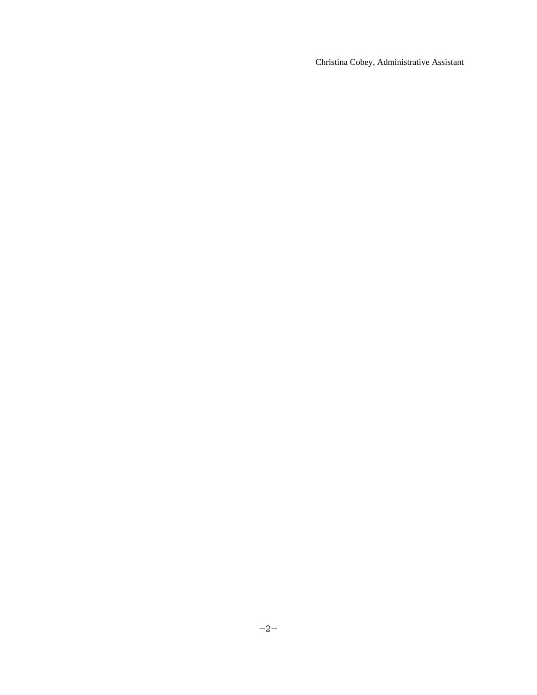Christina Cobey, Administrative Assistant